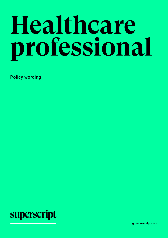# Healthcare professional

**Policy wording** 



gosuperscript.com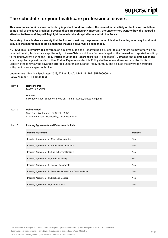

# **The schedule for your healthcare professional covers**

**This Insurance contains some particularly important conditions which the Insured must satisfy or the Insured could lose some or all of the cover provided. Because these are particularly important, the Underwriters want to draw the Insured's attention to them and they will highlight them in bold and capital letters within the Policy.**

**Separately, there is also a warranty that the Insured must pay the premium when it is due, including when any instalment is due. If the Insured fails to do so, then the Insured's cover will be suspended.**

**NOTICE:** This Policy **provides** coverage on a Claims Made and Reported Basis. Except to such extent as may otherwise be provided herein, this insurance applies only to those **Claims** which are first made against the **Insured** and reported in writing to the underwriters during the **Policy Period** or **Extended Reporting Period** (if applicable). **Damages** and **Claims Expenses** shall be applied against the deductible. **Claims Expenses** under this Policy shall reduce and may exhaust the Limits of Liability. Please review the coverage afforded under this Insurance Policy carefully and discuss the coverage hereunder with your insurance agent or broker.

**Underwriters:** Beazley Syndicates 2623/623 at Lloyd's **UMR:** B17921SPR2000004A **Policy Number:** DBE109008838

| Item 1            | <b>Name Insured</b><br><b>MARTHA GASKELL</b><br><b>Address</b><br>5 Meadow Road, Barlaston, Stoke-on-Trent, ST12 9EJ, United Kingdom |                 |
|-------------------|--------------------------------------------------------------------------------------------------------------------------------------|-----------------|
| Item 2            | <b>Policy Period</b><br>Start Date: Wednesday, 27 October 2021<br>Anniversary Date: Wednesday, 26 October 2022                       |                 |
| Item <sub>3</sub> | <b>Insuring Agreements and Extensions Included</b>                                                                                   |                 |
|                   | <b>Insuring Agreement</b>                                                                                                            | <b>Included</b> |
|                   | Insuring Agreement I.A., Medical Malpractice                                                                                         | Yes             |
|                   | Insuring Agreement I.B., Professional Indemnity                                                                                      | Yes             |
|                   | Insuring Agreement I.C., Public/General Liability                                                                                    | Yes             |
|                   | Insuring Agreement I.D., Product Liability                                                                                           | <b>No</b>       |
|                   | Insuring Agreement I.E., Loss of Documents                                                                                           | Yes             |
|                   | Insuring Agreement I.F., Breach of Professional Confidentiality                                                                      | Yes             |
|                   | Insuring Agreement I.G., Libel and Slander                                                                                           | Yes             |
|                   | Insuring Agreement I.H., Inquest Costs                                                                                               | Yes             |

This insurance is arranged and administered by Superscript and underwritten by Beazley Syndicates 2623/623 at Lloyd's.

Superscript is a trading name of Enro Limited, registered in England and Wales 9265254.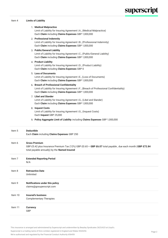### Item 4 **Limits of Liability**

|         | 1. Medical Malpractice<br>Limit of Liability for Insuring Agreement I.A., (Medical Malpractice)<br>Each Claim including Claims Expenses GBP 1,000,000                                       |  |
|---------|---------------------------------------------------------------------------------------------------------------------------------------------------------------------------------------------|--|
|         | 2. Professional Indemnity<br>Limit of Liability for Insuring Agreement I.B., (Professional Indemnity)<br>Each Claim including Claims Expenses GBP 1,000,000                                 |  |
|         | 3. Public/General Liability<br>Limit of Liability for Insuring Agreement I.C., (Public/General Liability)<br>Each Claim including Claims Expenses GBP 1,000,000                             |  |
|         | 4. Product Liability<br>Limit of Liability for Insuring Agreement I.D., (Product Liability)<br>Each Claim including Claims Expenses GBP 0                                                   |  |
|         | 5. Loss of Documents<br>Limit of Liability for Insuring Agreement I.E., (Loss of Documents)<br>Each Claim including Claims Expenses GBP 1,000,000                                           |  |
|         | 6. Breach of Professional Confidentiality<br>Limit of Liability for Insuring Agreement I.F., (Breach of Professional Confidentiality)<br>Each Claim including Claims Expenses GBP 1,000,000 |  |
|         | 7. Libel and Slander<br>Limit of Liability for Insuring Agreement I.G., (Libel and Slander)<br>Each Claim including Claims Expenses GBP 1,000,000                                           |  |
|         | 8. Inquest Costs<br>Limit of Liability for Insuring Agreement I.G., (Inquest Costs)<br>Each Inquest GBP 25,000                                                                              |  |
|         | 9. Policy Aggregate Limit of Liability including Claims Expenses GBP 1,000,000                                                                                                              |  |
| Item 5  | <b>Deductible</b><br>Each Claim including Claims Expenses GBP 250                                                                                                                           |  |
| Item 6  | <b>Gross Premium</b><br>GBP £5.42 plus Insurance Premium Tax (12%) GBP £0.65 = GBP £6.07 total payable, due each month (GBP £72.84<br>total payable annually) by the Named Insured          |  |
| Item 7  | <b>Extended Reporting Period</b><br>N/A                                                                                                                                                     |  |
| Item 8  | <b>Retroactive Date</b><br>Unlimited                                                                                                                                                        |  |
| Item 9  | Notifications under this policy<br>claims@gosuperscript.com                                                                                                                                 |  |
| Item 10 | <b>Insured's business</b><br><b>Complementary Therapies</b>                                                                                                                                 |  |
| Item 11 | Currency<br>GBP                                                                                                                                                                             |  |

This insurance is arranged and administered by Superscript and underwritten by Beazley Syndicates 2623/623 at Lloyd's.

Superscript is a trading name of Enro Limited, registered in England and Wales 9265254.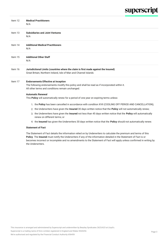| Item 12 | <b>Medical Practitioners</b><br>N/A                                                                                                                                                             |  |
|---------|-------------------------------------------------------------------------------------------------------------------------------------------------------------------------------------------------|--|
| Item 13 | <b>Subsidiaries and Joint Ventures</b><br>N/A                                                                                                                                                   |  |
| Item 14 | <b>Additional Medical Practitioners</b><br>N/A                                                                                                                                                  |  |
| Item 15 | <b>Additional Other Staff</b><br>N/A                                                                                                                                                            |  |
| Item 16 | Jurisdictional Limits (countries where the claim is first made against the Insured)<br>Great Britain, Northern Ireland, Isle of Man and Channel Islands                                         |  |
| Item 17 | <b>Endorsements Effective at Inception</b><br>The following endorsements modify this policy and shall be read as if incorporated within it.<br>All other terms and conditions remain unchanged. |  |
|         | <b>Automatic Renewal</b><br>This Policy will automatically renew for a period of one year on expiring terms unless:                                                                             |  |
|         | 1. the Policy has been cancelled in accordance with condition XVII (COOLING OFF PERIOD AND CANCELLATION);                                                                                       |  |
|         | 2. the Underwriters have given the Insured 30 days written notice that the Policy will not automatically renew;                                                                                 |  |
|         | 3. the Underwriters have given the Insured not less than 45 days written notice that the Policy will automatically<br>renew on different terms; or                                              |  |
|         | 4. the Insured has given the Underwriters 30 days written notice that the Policy should not automatically renew.                                                                                |  |

### **Statement of Fact**

The Statement of Fact details the information relied on by Underwriters to calculate the premium and terms of this **Policy**. The **Insured** must notify the Underwriters if any of the information detailed in the Statement of Fact is or becomes incorrect or incomplete and no amendments to the Statement of Fact will apply unless confirmed in writing by the Underwriters.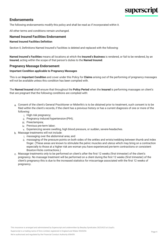## **Endorsements**

The following endorsements modify this policy and shall be read as if incorporated within it.

All other terms and conditions remain unchanged.

### **Named Insured Facilities Endorsement**

### **Named Insured Facilities Definition**

Section II, Definitions Named Insured's Facilities is deleted and replaced with the following:

**Named Insured's Facilities** means all locations at which the **Insured's Business** is rendered, or fail to be rendered, by an **Insured**, acting within the scope of that person's duties to the **Named Insured**.

### **Pregnancy Massage Endorsement**

### **Important Condition applicable to Pregnancy Massages**

This is an **Important Condition** and cover under this Policy for **Claims** arising out of the performing of pregnancy massages will not be available unless this condition has been complied with.

The **Named Insured** shall ensure that throughout the **Policy Period** when the **Insured** is performing massages on client's that are pregnant that the following conditions are complied with:

- a. Consent of the client's General Practitioner or Midwife's is to be obtained prior to treatment, such consent is to be filed within the client's records, if the client has a previous history or has a current diagnosis of one or more of the following:
	- i. High risk pregnancy;
	- ii. Pregnancy induced hypertension-(PIH);
	- iii. Preeclampsia;
	- iv. Previous pre-term labor;
	- v. Experiencing severe swelling, high blood pressure, or sudden, severe headaches.
- b. Massage treatments will not include:
	- i. massaging over the abdominal area; and
	- ii. massaging of the pressure points on both sides of the ankles and wrists/webbing between thumb and index finger. (These areas are known to stimulate the pelvic muscles and uterus which may bring on a contraction especially to those at a higher risk are woman you have experienced pre-term contractions or consistent Braxton-Hicks contractions.)
- c. Massage treatments only to be performed on client's after the first 12 weeks (first trimester) of the client's pregnancy. No massage treatment will be performed on a client during the first 12 weeks (first trimester) of the client's pregnancy this is due to the increased statistics for miscarriage associated with the first 12 weeks of pregnancy.

Superscript is a trading name of Enro Limited, registered in England and Wales 9265254.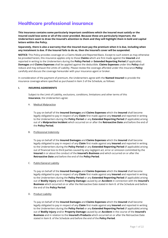# **Healthcare professional insurance**

**This Insurance contains some particularly important conditions which the Insured must satisfy or the Insured could lose some or all of the cover provided. Because these are particularly important, the Underwriters want to draw the Insured's attention to them and they will highlight them in bold and capital letters within the Policy.**

**Separately, there is also a warranty that the Insured must pay the premium when it is due, including when any instalment is due. If the Insured fails to do so, then the Insured's cover will be suspended.**

**NOTICE:** This Policy provides coverage on a Claims Made and Reported Basis. Except to such extent as may otherwise be provided herein, this insurance applies only to those **Claims** which are first made against the **Insured** and reported in writing to the Underwriters during the **Policy Period** or **Extended Reporting Period** (if applicable). **Damages** and **Claims Expenses** shall be applied against the deductible. **Claims Expenses** under this **Policy** shall reduce and may exhaust the Limits of Liability. Please review the coverage afforded under this Insurance **Policy**  carefully and discuss the coverage hereunder with your insurance agent or broker.

In consideration of the payment of premium, the Underwriters agree with the **Named Insured** to provide the insurance coverage where specified as purchased in Item 3 of the Schedule, as follows:

### **I. INSURING AGREEMENTS**

Subject to the Limit of Liability, exclusions, conditions, limitations and other terms of this **Insurance**, the Underwriters agree:

### A. Medical Malpractice

To pay on behalf of the **Insured Damages** and **Claims Expenses** which the **Insured** shall become legally obligated to pay in respect of any **Claim** first made against any **Insured** and reported in writing to the Underwriters during the **Policy Period** or any **Extended Reporting Period** (if applicable) arising out of a **Malpractice Incident** which occurred on or after the **Retroactive Date** and before the end of the **Policy Period.**

### B. Professional Indemnity

To pay on behalf of the **Insured Damages** and **Claims Expenses** which the **Insured** shall become legally obligated to pay in respect of any **Claim** first made against any **Insured** and reported in writing to the Underwriters during the **Policy Period** or any **Extended Reporting Period** (if applicable) arising out of financial loss to third parties caused by any negligent act, error or omission committed by the **Insured** in or about the conduct of the **Insured's Business** and which occurred on or after the **Retroactive Date** and before the end of the **Policy Period**.

### C. Public/General Liability

To pay on behalf of the **Insured Damages** and **Claims Expenses** which the **Insured** shall become legally obligated to pay in respect of any **Claim** first made against any **Insured** and reported in writing to the Underwriters during the **Policy Period** or any **Extended Reporting Period** (if applicable) arising out of **Bodily Injury** and/or **Property Damage** caused by an **Accident** in connection with the **Insured's Business** which occurred on or after the Retroactive Date stated in Item 8. of the Schedule and before the end of the **Policy Period**.

### D. Product Liability

To pay on behalf of the **Insured Damages** and **Claims Expenses** which the **Insured** shall become legally obligated to pay in respect of any **Claim** first made against any **Insured** and reported in writing to the Underwriters during the **Policy Period** or any **Extended Reporting Period** (if applicable) arising out of **Bodily Injury** and/or **Property Damage** caused by an **Accident** in the course of the **Insured's Business** and in relation to the **Insured's Products** which occurred on or after the Retroactive Date stated in Item 8. of the Schedule and before the end of the **Policy Period**.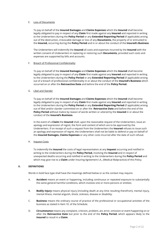### E. Loss of Documents

To pay on behalf of the **Insured Damages** and **Claims Expenses** which the **Insured** shall become legally obligated to pay in respect of any **Claim** first made against any **Insured** and reported in writing to the Underwriters during the **Policy Period** or any **Extended Reporting Period** (if applicable) arising out of the destruction, irrevocable damage or loss of any **Documents,** the property of or entrusted to the **Insured,** occurring during the **Policy Period** and in or about the conduct of the **Insured's Business**.

The Underwriters will indemnify the **Insured** all costs and expenses incurred by the **Insured** with the written consent of Underwriters in replacing or restoring such **Documents,** provided such costs and expenses are supported by bills and accounts.

### F. Breach of Professional Confidentiality

To pay on behalf of the **Insured Damages** and **Claims Expenses** which the **Insured** shall become legally obligated to pay in respect of any **Claim** first made against any **Insured** and reported in writing to the Underwriters during the **Policy Period** or any **Extended Reporting Period** (if applicable) arising out of a breach of professional confidentiality in or about the conduct of the **Insured's Business** which occurred on or after the **Retroactive Date** and before the end of the **Policy Period.**

### G. Libel and Slander

To pay on behalf of the **Insured Damages** and **Claims Expenses** which the **Insured** shall become legally obligated to pay in respect of any **Claim** first made against any **Insured** and reported in writing to the Underwriters during the **Policy Period** or any **Extended Reporting Period** (if applicable) arising out of libel and/or slander committed on or after the **Retroactive Date** and before the end of the **Policy Period** without malice by reason of words written or uttered by the **Insured** in or about the conduct of the **Insured's Business.**

In the event of a **Claim** the **Insured** shall, upon the reasonable request of the Underwriters, issue an apology and expression of regret, the form and content of which are to be approved by the Underwriters. If on receipt of such a request from the Underwriters the **Insured** refuses to issue such an apology and expression of regret, the Underwriters shall not be liable to defend or pay on behalf of the **Insured Damages, Claims Expenses** or any other costs incurred after the date of such refusal.

### H. Inquest Costs

To indemnify the **Insured** the costs of legal representation at any **Inquest** occurring and notified in writing to the Underwriters during the **Policy Period,** involving the **Insured** and in respect of unexpected deaths occurring and notified in writing to the Underwriters during the **Policy Period** and which may give rise to a **Claim** under Insuring Agreement I.A., (Medical Malpractice) of this Policy.

### **II. DEFINITIONS**

Words in bold face type shall have the meanings defined below or as the context may require.

- A. **Accident** means an event or happening, including continuous or repeated exposure to substantially the same general harmful conditions, which involves one or more persons or entities;
- B. **Bodily Injury** means physical injury (including death at any time resulting therefrom), mental injury, mental illness, mental anguish, shock, sickness, disease or disability;
- C. **Business** means the ordinary course of practice of the professional or occupational activities of the business as stated in Item 10. of the Schedule.
- D. **Circumstance** means any complaint, criticism, problem, act, error, omission or event happening on or after the **Retroactive Date** but prior to the end of the **Policy Period**, which appears likely to the **Insured** to result in a **Claim**.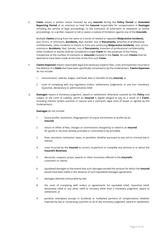E. **Claim** means a written notice received by any **Insured** during the **Policy Period** or **Extended Reporting Period** of an intention to hold the **Insured** responsible for compensation in **Damages**  including the service of legal proceedings, or the institution of arbitration or mediation or similar proceedings, or a written request to toll or waive a statute of limitation against any of the **Insureds**.

Multiple **Claims** arising from the same or a series of related or repeated **Malpractice Incidents,**  acts, errors, or omissions, **Accidents,** libel, slander, loss of **Documents,** breaches of professional confidentiality, other incidents or events or from any continuing **Malpractice Incidents,** acts, errors, omissions, **Accidents,** libel, slander, loss of **Documents,** breaches of professional confidentiality, other incidents or events shall be considered a single **Claim** for the purposes of this Policy, irrespective of the number of claimants or **Insureds** involved in the **Claim**. All such **Claims** shall be deemed to have been made at the time of the first such **Claim**.

- F. **Claims Expenses** means reasonable legal and necessary experts' fees, costs and expenses incurred in the defence of a **Claim** that have been specifically consented to by the Underwriters. **Claims Expenses**  do not include:
	- 1. remuneration, salaries, wages, overhead, fees or benefits of any **Insured**; or
	- 2. costs of complying with any regulatory orders, settlements, judgments, or any non- monetary, injunctive, declaratory or administrative relief.
- G. **Damages** means a monetary judgment, award or settlement, otherwise covered by this **Policy** and subject to the Limit of Liability, which an **Insured** is legally obliged to pay as a result of a **Claim**, including interest (unless punitive in nature) and a claimant's legal costs (if taxed, or agreed by the Underwriters).

**Damages** do not include:

- 1. future profits, restitution, disgorgement of unjust enrichment or profits by an **Insured**;
- 2. return or offset of fees, charges or commissions charged by or owed to an **Insured** for goods or services already provided or contracted to be provided;
- 3. fines, sanctions, restitution, taxes, or penalties, whether pursuant to any civil or criminal law or statute;
- 4. costs incurred by the **Insured** to correct, re-perform or complete any services in or about the **Insured's Business;**
- 5. discounts, coupons, prizes, awards or other incentives offered to the **Insured's** customers or clients;
- 6. liquidated damages to the extent that such damages exceed the amount for which the **Insured**  would have been liable in the absence of such liquidated damages agreement;
- 7. damages deemed uninsurable by law;
- 8. the costs of complying with orders or agreements for equitable relief, injunctive relief, declarative relief or any other relief or recovery other than a monetary judgment, award or settlement; or
- 9. punitive, exemplary (except in Scotland) or multiplied portions of compensation, whether imposed by law or comprising a portion or all of any monetary judgment, award or settlement.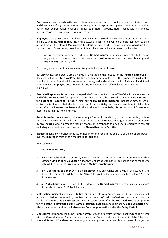- H. **Documents** means deeds, wills, maps, plans, non-medical records, books, letters, certificates, forms and documents of any nature whether written, printed or reproduced by any other method, and does not include bearer bonds, coupons, tickets, bank notes, currency notes, negotiable instruments, medical records or any digital or computer records.
- I. **Employee** means any person employed by the **Named Insured** to perform services under a contract of service with the **Named Insured**, whose status as such can be verified by documentation existing at the time of the relevant **Malpractice Incident**, negligent act, error or omission, **Accident,** libel, slander, loss of **Documents,** breach of confidentiality, other incident or event and includes:
	- 1. any person hired by or seconded to the **Named Insured** including agency staff, staff locums, any person with a zero hour contract, and/or any **Volunteer** or intern or those obtaining work experience (or similar); and
	- 2. any person whilst on a course of study with the **Named Insured**;

but only whilst such persons are acting within the scope of their duties for the **Insured**. **Employee**  does not include any **Medical Practitioner**, whether or not employed by the **Named Insured**, unless specified in Item 12. of the Schedule or otherwise agreed and endorsed on this **Policy** and additional premium paid. **Employee** does not include any independent or self-employed contractor or individual;

- J. **Extended Reporting Period** means the period of time (specified in Item 7.b of the Schedule) after the end of the **Policy Period** for reporting **Claims** made against the **Insured** during the **Policy Period** or the **Extended Reporting Period**, arising out of **Malpractice Incidents,** negligent acts, errors or omissions, **Accidents,** libel, slander, breaches of confidentiality, incidents or events which take place on or after the **Retroactive Date** and prior to the end of the **Policy Period** or loss of **Documents**  occurring during the **Policy Period.**
- K. **Good Samaritan Act** means those services performed in rendering, or failing to render, without remuneration, emergency medical treatment at the scene of a medical emergency, accident or disaster by any **Insured** who is present either by chance or in response to any general emergency call, but excluding such treatment performed on the **Named Insured's Facilities**.
- L. **Inquest** means any coroner's inquest or inquiry commenced in the exercise of the coroner's powers over the **Insured** in relation to a **Malpractice Incident.**
- M. **Insured** means:
	- 1. the **Named Insured**;
	- 2. any individual (including a principal, partner, director, a member of any Ethics Committee, Medical Director, **Employee** or **Volunteer**) but only whilst acting within the scope of and during the course of his duties for the **Insured,** other than a **Medical Practitioner**;
	- 3. any **Medical Practitioner** who is an **Employee**, but only whilst acting within the scope of and during the course of his duties for the **Named Insured** and only where specified in Item 12. of the Schedule; and
	- 4. any **Subsidiary**, or joint venture (to the extent of the **Named Insured's** percentage participation), if specified in Item 13. of the Schedule.
- N. **Malpractice Incident** means any **Bodily Injury** or death of a **Patient** caused by any negligent act, error or omission committed by the **Insured** in breach of their professional duty in or about the conduct of the **Insured's Business** and which occurred on or after the **Retroactive Date** but prior to the end of the **Policy Period** at the **Named Insured's Facilities** or as part of any **Good Samaritan Act**  which occurred on or after the **Retroactive Date** but prior to the end of the **Policy Period.**
- O. **Medical Practitioner** means a physician, doctor, surgeon or dentist currently qualified and registered with the General Medical Council and/or Irish Medical Council and stated in Item 12. of the Schedule.
- P. **Medical Research Services** means an organised study or test that uses human research subjects to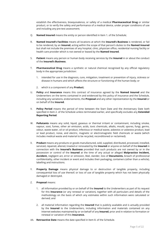establish the effectiveness, bioequivalence, or safety of a medical **Pharmaceutical Drug** or similar product, or to verify the safety and performance of a medical device, under proper conditions of use and including any pre-test assessment;

- Q. **Named Insured** means the entity or person identified in Item 1. of the Schedule;
- R. **Named Insured's Facilities** means all locations at which the **Insured's Business** is rendered, or fail to be rendered, by an **Insured**, acting within the scope of that person's duties to the **Named Insured**  but shall not include the premises of any hospital, clinic, physician office, residential nursing facility or health care provider which is not owned or leased by the **Named Insured**.
- S. **Patient** means any person or human body receiving services by the **Insured** in or about the conduct of the **Insured's Business**.
- T. **Pharmaceutical Drug** means a synthetic or natural chemical recognised by any official regulatory body in the appropriate jurisdiction:
	- 1. intended for use in the diagnosis, cure, mitigation, treatment or prevention of injury, sickness or disease in humans and which affects the structure or functioning of the human body; or
	- 2. which is a component of any **Product**;
- U. **Policy** and **Insurance** means this contract of insurance agreed by the **Named Insured** and the Underwriters on the terms contained in and evidenced by this policy of insurance and the Schedule, including any variations, endorsements, the **Proposal** and any other representation by the **Insured** or on behalf of the **Insured**.
- V. **Policy Period** means the period of time between the Start Date and the Anniversary Date both specified in Item 2. of the Schedule unless terminated earlier, and specifically excludes any **Extended Reporting Period**.
- W. **Pollutants** means any solid, liquid, gaseous or thermal irritant or contaminant, including smoke, vapour, soot, fumes, other air emission, acids, toxic chemicals, alkalis, mould, spores, fungi, germs, odour, waste water, oil or oil product, infectious or medical waste, asbestos or asbestos product, lead or lead product, noise, and electric, magnetic or electromagnetic field chemicals or waste (which includes medical waste and material to be recycled, reconditioned or reclaimed).
- X. **Product** means any products or goods manufactured, sold, supplied, distributed, processed, installed, serviced, repaired, altered, treated or renovated by the **Insured** or anyone on behalf of the **Insured** in connection with the **Insured's Business** provided that such products are not owned by or in the possession or control of the **Insured** at the time of any actual or alleged **Malpractice Incident, Accident,** negligent act, error or omission, libel, slander, loss of **Documents,** breach of professional confidentiality, other incident or event and includes their packaging, containers (other than a vehicle), labelling and instructions.
- Y. **Property Damage** means physical damage to or destruction of tangible property, including consequential loss of use thereof; or loss of use of tangible property which has not been physically damaged or destroyed.
- Z. **Proposal** means:
	- 1. all information provided by or on behalf of the **Insured** to the Underwriters as part of its request for this **Insurance** (or any renewal or variation), together with all particulars and details of the methodology on the basis of which any estimates within such information were calculated or derived; and
	- 2. all material information regarding the **Insured** that is publicly available and is actually provided by the **Insured** to the Underwriters, including information and materials contained on any Internet websites maintained by or on behalf of any **Insured**, prior and in relation to formation or renewal or variation of this **Insurance.**
- AA. **Retroactive Date** means the date specified in Item 8. of the Schedule.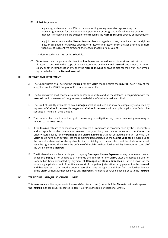### BB. **Subsidiary** means:

- 1. any entity, while more than 50% of the outstanding voting securities representing the present right to vote for the election or appointment or designation of such entity's directors, managers or equivalent are owned or controlled by the **Named Insured** directly or indirectly; or
- 2. any joint venture while the **Named Insured** has managerial control, or while it has the right to elect or designate or otherwise appoint or directly or indirectly control the appointment of more than 50% of such entity's directors, trustees, managers or equivalent;

as designated in Item 13. of the Schedule.

CC. **Volunteer** means a person who is not an **Employee**, and who donates his work and acts at the direction of and within the scope of duties determined by the **Named Insured**, and is not paid a fee, salary or other compensation by either the **Named Insured** or anyone else for their work performed by or on behalf of the **Named Insured**.

### **III. DEFENCE AND SETTLEMENT**

- A. The Underwriters shall defend the **Insured** for any **Claim** made against the **Insured**, even if any of the allegations of the **Claim** are groundless, false or fraudulent.
- B. The Underwriters shall choose a solicitor and/or counsel to conduct the defence in conjunction with the **Insured**, but in the event of disagreement the decision of the Underwriters is final.
- C. The Limit of Liability available to pay **Damages** shall be reduced and may be completely exhausted by payment of **Claims Expenses**. **Damages** and **Claims Expenses** shall be applied against the Deductible specified in Item 5. of the Schedule.
- D. The Underwriters shall have the right to make any investigation they deem reasonably necessary in relation to this **Insurance.**
- E. If the **Insured** refuses to consent to any settlement or compromise recommended by the Underwriters and acceptable to the claimant or relevant party or body and elects to contest the **Claim**, the Underwriters' liability for any **Damages** and **Claims Expenses** shall not exceed the amount for which the **Claim** could have been settled, less the remaining Deductible, plus the **Claims Expenses** incurred up to the time of such refusal, or the applicable Limit of Liability, whichever is less, and the Underwriters shall have the right to withdraw from the defence of the **Claim** without further liability by tendering control of the defence to the **Insured**.
- F. The Underwriters shall not be obliged to pay any **Damages**, **Claims Expenses** or any other costs covered under this **Policy** or to undertake or continue the defence of any **Claim**, after the applicable Limit of Liability has been exhausted by payment of **Damages** or **Claims Expenses** or after deposit of the remaining applicable Limit of Liability in a court of competent jurisdiction, or by payment to the **Insured**, and that upon such payment the Underwriters shall have the right to withdraw from the further defence of the **Claim** without further liability to any **Insured** by tendering control of such defence to the **Insured**.

### **IV. TERRITORIAL AND JURISDICTIONAL LIMITS**

This **Insurance** applies anywhere in the world (Territorial Limits) but only if the **Claim** is first made against the **Insured** in those countries stated in Item 16. of the Schedule (Jurisdictional Limits).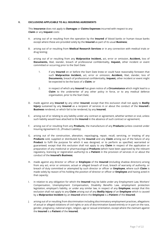### **V. EXCLUSIONS APPLICABLE TO ALL INSURING AGREEMENTS**

This **Insurance** does not apply to **Damages** or **Claims Expenses** incurred with respect to any **Claim** or any **Inquest** costs:

- A. arising out of or resulting from the operation by the **Insured** of blood banks or human tissue banks except where these are provided solely by the **Insured** as part of its usual **Business**;
- B. arising out of or resulting from **Medical Research Services** or in any connection with medical trials or drug testing;
- C. arising out of or resulting from any **Malpractice Incident,** act, error or omission, **Accident,** loss of **Documents,** libel, slander, breach of professional confidentiality, **Inquest,** other incident or event committed or occurring prior to the Start Date:
	- 1. if any **Insured** on or before the Start Date knew or could have reasonably foreseen that such **Malpractice Incident,** act, error or omission, **Accident,** libel, slander, loss of **Documents,** breach of professional confidentiality, **Inquest,** other incident or event might be expected to be the basis of a **Claim**; or
	- 2. in respect of which any **Insured** has given notice of a **Circumstance** which might lead to a **Claim** to the underwriter of any other policy in force, or to any medical defence organisation, prior to the Start Date;
- D. made against any **Insured** by any other **Insured**; except that this exclusion shall not apply to **Bodily Injury** sustained by any **Insured** as a recipient of services in or about the conduct of the **Insured**'s **Business** rendered, or which fail to be rendered, by any **Insured**;
- E. arising out of or relating to any liability under any contract or agreement, whether written or oral, unless such liability would have attached to the **Insured** in the absence of such contract or agreement;
- F. arising out of or resulting from any **Products,** the manufacture of any **Products** (unless covered under Insuring Agreement I.D., (Product Liability),
- G. arising out of the construction, alteration, repackaging, repair, recall, servicing, or treating of any **Products** sold, supplied or distributed by the **Insured** and any **Claim** arising out of the failure of any **Product** to fulfil the purpose for which it was designed, or to perform as specified, warranted or guaranteed; except that this exclusion shall not apply to any **Claim** in respect of the application or preparation of any medicinal or pharmacological **Products** (which have been approved by the relevant regulatory, licencing or registration authority) to a **Patient** in the provision of services in or about the conduct of the **Insured's Business**;
- H. made against any director or officer or **Employee** of the **Insured** (including shadow directors) arising from any act, error or omission, actual or alleged breach of trust, breach of warranty of authority, or breach of duty committed or attempted by such director or officer or **Employee**, where such **Claim** is made solely by reason of his holding the position of director or officer or **Employee** and having acted in that capacity;
- I. in relation to any obligation for which the **Insured** may be liable under any Employment Law, Workers' Compensation, Unemployment Compensation, Disability Benefits Law, employment protection legislation, employer's liability, or under any similar law, in respect of any **Employee**; except that this exclusion shall not apply to any **Claim** arising out of any **Bodily Injury** of an **Employee** which is caused by a **Malpractice Incident** by an **Insured** where the **Employee** is a **Patient** of the **Insured**;
- J. arising out of or resulting from discrimination including discriminatory employment practices, allegations of actual or alleged violations of civil rights or acts of discrimination based entirely or in part on the race, gender, pregnancy, national origin, religion, age or sexual orientation, except where the claimant against the **Insured** is a **Patient** of the **Insured**;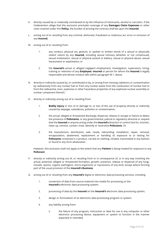- K. directly caused by or materially contributed to by the influence of intoxicants, alcohol or narcotics. If the Underwriters allege that this exclusion precludes coverage of any **Damages Claim Expenses** or other costs covered under this **Policy,** the burden of proving the contrary shall be upon the **Insured**;
- L. arising out of or resulting from any criminal, dishonest, fraudulent or malicious act, error or omission of any **Insured**;
- M. arising out of or resulting from:
	- 1. any conduct, physical act, gesture, or spoken or written words of a sexual or physically violent nature by any **Insured**, including sexual intimacy (whether or not consensual), sexual molestation, sexual or physical assault or battery, sexual or physical abuse, sexual harassment or exploitation; or
	- 2. the **Insured's** actual or alleged negligent employment, investigation, supervision, hiring, training or retention of any **Employee**, **Insured** or person for whom the **Insured** is legally responsible and whose conduct falls within paragraph M.1. above.
- N. directly or indirectly caused by, or contributed to by, or arising from ionising radiations or contamination by radioactivity from any nuclear fuel or from any nuclear waste from the combustion of nuclear fuel or from the radioactive, toxic, explosive or other hazardous properties of any explosive nuclear assembly or nuclear component thereof.;
- O. directly or indirectly arising out of or resulting from:
	- 1. **Bodily injury** or loss of or damage to, or loss of the use of property directly or indirectly caused by seepage, subsidence, pollution or contamination;
	- 2. the actual, alleged or threatened discharge, dispersal, release or escape or failure to detect the presence of **Pollutants**, or any governmental, judicial or regulatory directive or request that the **Insured** or anyone acting under the **Insured's** direction or control test for, monitor, clean up, remove, contain, treat, detoxify or neutralize **Pollutants**. Or
	- 3. the manufacture, distribution, sale, resale, rebranding, installation, repair, removal, encapsulation, abatement, replacement or handling of, exposure to or testing for **Pollutants** contained in a product, carried on clothing, inhaled, transmitted in any fashion or found in any form whatsoever.

However, this exclusion shall not apply to the extent that any **Patient** is being treated for exposure to any **Pollutant**.

- P. directly or indirectly arising out of, or resulting from or in consequence of, or in any way involving the actual, potential, alleged or threatened formation, growth, presence, release or dispersal of any fungi, moulds, spores, organic pathogens, micro-organisms or mycotoxins of any kind, except where forming part of the usual provision of the **Insured's Business**;
- Q. arising out of or resulting from any **Insured's** digital or electronic data processing services, including:
	- 1. conversion of data from source material into media for processing on the **Insured's** electronic data processing system;
	- 2. processing of data by the **Insured** on the **Insured's** electronic data processing system;
	- 3. design or formulation of an electronic data processing program or system;
	- 4. any liability arising from:
		- i) the failure of any program, instruction or data for use in any computer or other electronic processing device, equipment or system to function in the manner expected or intended;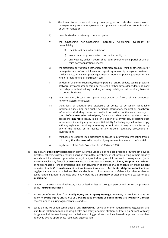- ii) the transmission or receipt of any virus, program or code that causes loss or damages to any computer system and /or prevents or impairs its proper function or performance; or
- iii) unauthorised access to any computer system;
- iv) the functioning, non-functioning, improperly functioning, availability or unavailability of:
	- a) the internet or similar facility; or
	- b) any intranet or private network or similar facility; or
	- c) any website, bulletin board, chat room, search engine, portal or similar third party application service;
- v) the alteration, corruption, destruction, distortion, erasure, theft or other loss of or damage to data, software, information repository, microchip, integrated system or similar device, in any computer equipment or non- computer equipment or any kind of programming or instruction set;
- vi) any loss of use or functionality, whether partial or entire, of data, coding, program, software, any computer or computer system or other device dependent upon any microchip or embedded logic and any ensuing inability or failure of any **Insured**  to conduct business;
- vii) any alteration, breach, corruption, destruction, or failure of any computer, network systems or firewalls;
- viii) theft, loss, or unauthorised disclosure or access to personally identifiable information including non-public personal information, medical or healthcare information (including protected health information) in the care, custody or control of the **Insured** or a third party for whose such unauthorised disclosure or access the **Insured** is legally liable, or violation of a privacy law protecting such information, including any consequential liability (including any failure to comply with any legislation requiring monitoring or notification to any person affected by any of the above, or in respect of any related regulatory proceeding or investigation);
- ix) theft, loss, or unauthorised disclosure or access to information emanating from a third party that the **Insured** is required by agreement to maintain confidential; or
- x) any breach of the Data Protection Acts 1984 and 1998.
- R. against any **Subsidiary** designated in Item 13 of the Schedule or its past, present, or future employees, directors, officers, trustees, review board or committee members, or volunteers acting in their capacity as such, which are based upon, arise out of, directly or indirectly result from, are in consequence of, or in any way involve any fact, **Circumstance**, situation, transaction, event, **Accident, Malpractice Incident**  or negligent acts, errors or omissions, libel, slander, breach of professional confidentiality, other incident or series of facts, **Circumstances**, situations, transactions, events, **Accidents, Malpractice Incidents** or negligent acts, errors or omissions, libel, slander, breach of professional confidentiality, other incident or event happening before the date such entity became a **Subsidiary** or after the date it ceased to be a **Subsidiary**;
- S. relating to or arising out of asbestos, silica or lead, unless occurring as part of and during the provision of the **Insured's Business**;
- T. arising out of or resulting from **Bodily Injury** and **Property Damage.** However, this exclusion does not apply to **Bodily Injury** arising out of a **Malpractice Incident** or **Bodily Injury** and **Property Damage**  covered under Insuring Agreements I.C. and I.D;
- U. based on the wilful non-compliance of any **Insured** with any local or international rules, regulations and statutes in relation to food and drug health and safety or administration, or treating a **Patient** with any drugs, medical devices, biologics or radiation-emitting products that have been disapproved or not then approved by any appropriate regulatory organisation;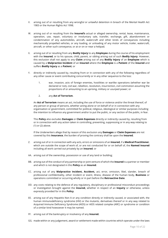- V. arising out of or resulting from any wrongful or unlawful detention in breach of the Mental Health Act 1983 or the Human Rights Act 1998;
- W. arising out of or resulting from the **Insured's** actual or alleged ownership, rental, lease, maintenance, operation, use, repair, voluntary or involuntary sale, transfer, exchange, gift, abandonment or condemnation of any automobiles, aircraft, watercraft and other kinds of conveyances including mechanically propelled vehicles, or any loading, or unloading of any motor vehicle, trailer, watercraft, aircraft, or other such conveyance, or at or on or near a helipad;
- X. arising out of or resulting from any **Bodily Injury** to any **Employee** during the course of his employment with the **Insured**, or to his spouse, child, parent, or sibling arising out of such **Bodily Injury**. However, this exclusion shall not apply to any **Claim** arising out of any **Bodily Injury** of an **Employee** which is caused by a **Malpractice Incident** of an **Insured** where the **Employee** is a **Patient** of the **Insured** and suffers **Bodily Injury** as a **Patient**; or
- Y. directly or indirectly caused by, resulting from or in connection with any of the following regardless of any other cause or event contributing concurrently or in any other sequence to the loss:
	- 1. war, invasion, acts of foreign enemies, hostilities or warlike operations (whether war be declared or not), civil war, rebellion, revolution, insurrection, civil commotion assuming the proportions of or amounting to an uprising, military or usurped power; or

### 2. any **Act of Terrorism**.

An **Act of Terrorism** means an act, including the use of force or violence and/or the threat thereof, of any person or group of persons, whether acting alone or on behalf of or in connection with any organisation or government, committed for political, religious, ideological or similar purposes including the intention to influence any government and/or to put the public, or any section of the public, in fear.

This **Policy** also excludes **Damages** or **Claim Expenses** directly or indirectly caused by, resulting from or in connection with any action taken in controlling, preventing, suppressing or in any way relating to (1) or (2) above.

If the Underwriters allege that by reason of this exclusion any **Damages** or **Claim Expenses** are not covered by this **Insurance**, the burden of proving the contrary shall be upon the **Insured**;

- Z. arising out of or in connection with any acts, errors or omissions of an **Insured**, if a **Medical Practitioner**, which are outside the scope of work of, or are not conducted for or on behalf of, the **Named Insured**  including all work carried out privately by an **Insured**; or
- AA. arising out of the ownership, possession or use of any land or building;
- BB. arising out of the conduct of any partnership or joint venture of which the **Insured** is a partner or member and which is not designated in this **Policy** as an **Insured**.
- CC. arising out of any **Malpractice Incident, Accident,** act, error, omission, libel, slander, breach of professional confidentiality, other incident or event, illness, disease of the human body, **Business** or operations committed or occurring wholly or in part before the **Retroactive Date**.
- DD. any costs relating to the defence of any regulatory, disciplinary or professional misconduct proceedings or investigation brought against the **Insured,** whether in respect of an **Inquiry** or otherwise, unless expressly provided for in this **Policy**.
- EE. arising out of any Hepatitis Non A or any condition directly or indirectly caused, or associated with, the human immunodeficiency syndrome (HIV) or the mutants, derivatives thereof or in any way related to Acquired Immune Deficiency Syndrome (AIDS) or AIDS related complex (ARC) or syndrome or condition of a similar kind howsoever it may be named.
- FF. arising out of the bankruptcy or insolvency of any **Insured.**
- GG. made within or any judgement, award or settlement made within countries which operate under the laws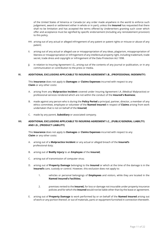of the United States of America or Canada (or any order made anywhere in the world to enforce such judgement, award or settlement either in whole or in part), unless the **Insured** has requested that there shall no be limitation and has accepted the terms offered by Underwriters granting such cover which offer and acceptance must be signified by specific endorsement (including any reinstatement provision) to this policy.

- HH. arising out of any actual or alleged infringement of any patent or patent rights or misuse or abuse of any patent;
- II. arising out of any actual or alleged use or misappropriation of any ideas, plagiarism, misappropriation of likeness or misappropriation or infringement of any intellectual property right, including trademark, trade secret, trade dress and copyright or infringement of the Data Protection Act 1998.
- JJ. in relation to Insuring Agreement I.G., arising out of the contents of any journal or publication, or in any communication or contribution to the press or media.

### **VI. ADDITIONAL EXCLUSIONS APPLICABLE TO INSURING AGREEMENT I.B., (PROFESSIONAL INDEMNITY)**

This **Insurance** does not apply to **Damages** or **Claims Expenses** incurred with respect to any **Claim** or any other costs**:**

- A. arising from any **Malpractice Incident** covered under Insuring Agreement I.A. (Medical Malpractice) or professional services rendered which are not within the conduct of the **Insured's Business**;
- B. made against any person who is during the **Policy Period** a principal, partner, director, a member of any ethics committee, employee or volunteer of the **Named Insured** in respect of **Claims** arising from work undertaken that is not on behalf of the **Insured**;
- C. made by any parent, **Subsidiary** or associated company.

### **VII. ADDITIONAL EXCLUSIONS APPLICABLE TO INSURING AGREEMENT I.C., (PUBLIC/GENERAL LIABILTY) AND I.D., (PRODUCT LIABILITY)**

This **Insurance** does not apply to **Damages** or **Claims Expenses** incurred with respect to any **Claim** or any other costs**:**

- A. arising out of a **Malpractice Incident** or any actual or alleged breach of the **Insured's** professional duty;
- B. arising out of **Bodily Injury** to an **Employee** of the **Insured;**
- C. arising out of transmission of computer virus;
- D. arising out of **Property Damage** belonging to the **Insured** or which at the time of the damage is in the **Insured's** care, custody or control. However, this exclusion does not apply to:
	- 1. vehicles or personal belongings of **Employees** and visitors, while they are located in the **Named Insured's Facilities;**
	- 2. premises rented to the **Insured,** for loss or damage not insurable under property insurance policies and for which the **Insured** would not be liable other than by the lease or agreement.
- E. arising out of **Property Damage** to work performed by or on behalf of the **Named Insured** arising out of work or any portion thereof, or out of materials, parts or equipment furnished in connection therewith.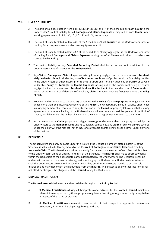### **VIII. LIMIT OF LIABILITY**

- A. The Limit of Liability stated in Item 4. (1), (2), (3), (4), (5), (6) and (7) of the Schedule as "Each **Claim**" is the Underwriters' Limit of Liability for all **Damages** and **Claims Expenses** arising out of each **Claim** under Insuring Agreements I.A., I.B., I.C., I.D., I.E., I.F. and I.G., respectively.
- B. The Limit of Liability stated in Item 4.(8) of the Schedule as "Each **Inquest**" is the Underwriters' Limit of Liability for all **Inquest's** costs under Insuring Agreement I.H.
- C. The Limit of Liability stated in Item 4.(9) of the Schedule as "Policy Aggregate" is the Underwriters' Limit of Liability for all **Damages** and **Claims Expenses** arising out of all **Claims** and other costs which are covered by this **Policy**.
- D. The Limit of Liability for any **Extended Reporting Period** shall be part of, and not in addition to, the Underwriters' Limit of Liability for the **Policy Period**.
- E. Any **Claims**, **Damages** or **Claims Expenses** arising from any negligent act, error or omission, **Accident**, **Malpractice Incident,** libel, slander, loss of **Documents** or breach of professional confidentiality notified to the Underwriters or other insurer prior to the Start Date shall not be included as one **Claim** or payable under this **Policy** as **Damages** or **Claims Expenses** arising out of the same, continuing or related negligent act, error or omission, **Accident**, **Malpractice Incident,** libel, slander, loss of **Documents** or breach of professional confidentiality of which any **Claim** is made or notice is first given during this **Policy Period**.
- F. Notwithstanding anything to the contrary contained in this **Policy**, if a **Claim** purports to trigger coverage under more than one Insuring Agreement of this **Policy**, the Underwriters' Limit of Liability under each Insuring Agreement shall continue to apply to that part of the **Claim** that properly falls within that Insuring Agreement but the total liability of the Underwriters shall in no event exceed the greater of the Limit of Liability available under the higher of any one of the Insuring Agreements relevant to the **Claim**.
- G. In the event that a **Claim** purports to trigger coverage under more than one policy issued by the Underwriters to the **Named Insured** and its subsidiary companies, any **Claim** or suit will only be covered under the policy with the highest limit of insurance available or, if the limits are the same, under only one of the policies.

### **IX. DEDUCTIBLE**

The Underwriters shall only be liable under this **Policy** if the Deductible amount stated in Item 5. of the Schedule is satisfied in full by payments by the **Insured** of **Damages** and/or **Claims Expenses** resulting from each **Claim**. The Underwriters shall be liable only for the amounts in excess of such Deductible subject to the Underwriters' Limits of Liability in Item 4. of the Schedule. The **Insured** shall make direct payments within the Deductible to the appropriate parties designated by the Underwriters. The Deductible shall be and remain uninsured, unless otherwise agreed in writing by the Underwriters. Under no circumstances shall the Underwriters be required to pay the Deductible, but the Underwriters may do so at their sole discretion and may then collect the Deductible from the **Insured**. The existence of any other insurance shall not affect or abrogate the obligation of the **Insured** to pay the Deductible.

### **X. MEDICAL PRACTITIONERS**

The **Named Insured** shall ensure and record that throughout the **Policy Period**:

- A. all **Medical Practitioners** during all their professional activities for the **Named Insured** maintain a relevant license approved by the appropriate regulatory, licensing or registration body or equivalent in respect of their area of practice;
- B. all **Medical Practitioners** maintain membership of their respective applicable professional association, if this membership is legally required; and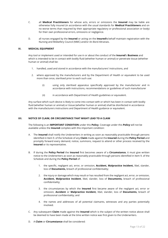- C. all **Medical Practitioners** for whose acts, errors or omissions the **Insured** may be liable are otherwise fully insured (in accordance with the usual standards for **Medical Practitioners** and on no worse terms than required by their appropriate regulatory or professional association or body) for their own professional errors, omissions or negligence.
- D. all nurses engaged by the **Insured** or acting on the **Insured's** behalf maintain registration with the Nursing and Midwifery Council (NMC) and/or An Bord Altranais.

### **XI. MEDICAL EQUIPMENT**

Any tool or implement used or intended for use in or about the conduct of the **Insured**'s **Business** and which is intended to be in contact with bodily fluid (whether human or animal) or penetrate tissue (whether human or animal) shall be:

- 1. handled, used and stored in accordance with the manufacturers' instructions, and
- 2. where approved by the manufacturers and by the Department of Health or equivalent to be used more than once, sterilised prior to each such use:
	- (i) using only sterilised apparatus specifically approved by the manufacturer and in accordance with instructions, recommendations or guidelines of such manufacturer
	- (ii) in accordance with Department of Health guidelines or equivalent.

Any surface which such device is likely to come into contact with or which has been in contact with bodily fluid (whether human or animal) or tissue (whether human or animal) shall be disinfected in accordance with the manufacturers instructions and Department of Health guidance or equivalent.

### **XII. NOTICE OF CLAIM, OR CIRCUMSTANCE THAT MIGHT LEAD TO A CLAIM**

The following is an **IMPORTANT CONDITION** under this **Policy**. Coverage under this **Policy** will not be available unless the **Insured** complies with this important condition:

- A. The **Insured** shall notify the Underwriters in writing as soon as reasonably practicable through persons identified in Item 9. of the Schedule of any **Claim** made against the **Insured** during the **Policy Period** and promptly forward every demand, notice, summons, request to attend or other process received by the **Insured** or its representative.
- B. If during the **Policy Period** the **Insured** first becomes aware of a **Circumstance**, it must give written notice to the Underwriters as soon as reasonably practicable through persons identified in Item 9. of the Schedule and during the **Policy Period** of:
	- 1. the specific, negligent act, error, or omission, **Accident, Malpractice Incident,** libel, slander, loss of **Documents,** breach of professional confidentiality;
	- 2. the injury or damage which may result or has resulted from the negligent act, error, or omission, **Accident, Malpractice Incident**, libel, slander, loss of **Documents,** breach of professional confidentiality;
	- 3. the circumstances by which the **Insured** first became aware of the negligent act, error or omission, **Accident** or **Malpractice Incident,** libel, slander, loss of **Documents,** breach of professional confidentiality; and
	- 4. the names and addresses of all potential claimants, witnesses and any parties potentially involved.
- C. Any subsequent **Claim** made against the **Insured** which is the subject of the written notice above shall be deemed to have been made at the time written notice was first given to the Underwriters.
- D. A **Claim** or **Circumstance** shall be considered: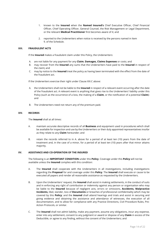- 1. known to the **Insured** when the **Named Insured's** Chief Executive Officer, Chief Financial Officer, Chief Operating Officer, General Counsel, the Risk Management or Legal Department, or the relevant **Medical Practitioner** first becomes aware of it; and
- 2. reported to the Underwriters when notice is received by the persons named in Item 9. of the Schedule.

### **XIII. FRAUDULENT ACTS**

If the **Insured** makes a fraudulent claim under this Policy, the Underwriters:

- A. are not liable for any payment for any **Claim**, **Damages, Claims Expenses** or costs; and
- B. may recover from the **Insured** any sums that the Underwriters have paid to the **Insured** in respect of the claim**;** and
- C. may by notice to the **Insured** treat the policy as having been terminated with the effect from the date of the fraudulent act.

If the Underwriters exercise their right under Clause XIII.C above:

- A. the Underwriters shall not be liable to the **Insured** in respect of a relevant event occurring after the date of the fraudulent act. A relevant event is anything that gives rise to the Underwriters' liability under this Policy (such as the occurrence of a loss, the making of a **Claim**, or the notification of a potential **Claim**): and
- B. The Underwriters need not return any of the premium paid.

### **XIV. RECORDS**

The **Insured** shall at all times:

- A. maintain accurate descriptive records of all **Business** and equipment used in procedures which shall be available for inspection and use by the Underwriters or their duly appointed representatives insofar as they relate to any **Claim** hereunder; and
- B. retain the records referred to in A. above for a period of at least ten (10) years from the date of treatment and, in the case of a minor, for a period of at least ten (10) years after that minor attains majority.

### **XV. ASSISTANCE AND CO-OPERATION OF THE INSURED**

The following is an **IMPORTANT CONDITION** under this **Policy**. Coverage under this **Policy** will not be available unless the **Insured** complies with this condition:

- A. The **Insured** shall cooperate with the Underwriters in all investigations, including investigations regarding the **Proposal** for and coverage under this **Policy**. The **Insured** shall execute or cause to be executed all papers and render all reasonable assistance as requested by the Underwriters.
- B. Upon the Underwriters' request, the **Insured** shall assist in making settlements, in the conduct of suits and in enforcing any right of contribution or indemnity against any person or organisation who may be liable to the **Insured** because of negligent acts, errors or omissions, **Accidents, Malpractice Incidents,** libel, slander, loss of **Documents** or breaches of professional confidentiality which may be covered by this **Policy**; and the **Insured** shall attend hearings and trials and assist in securing and giving evidence and obtaining the assistance and attendance of witnesses, the execution of all documentation, and to allow for compliance with any Practice Directions, Civil Procedure Rules, Pre-Action Protocols, or similar.
- C. The **Insured** shall not admit liability, make any payment, assume any obligations, incur any expense, enter into any settlement, consent to any judgment or award or dispose of any **Claim** in excess of the Deductible, or agree to any finding, without the consent of the Underwriters; and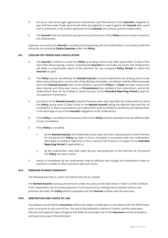- D. No action shall be brought against the Underwriters until the amount of the **Insured's** obligation to pay shall have been finally determined either by judgment or award against the **Insured** after actual trial or arbitration, or by written agreement of the **Insured**, the claimant and the Underwriters.
- E. The **Insured** shall not disclose to any person any of the terms of this **Policy** without written consent of the Underwriters.

Expenses incurred by the **Insured** in assisting and cooperating with the Underwriters in accordance with this clause do not constitute **Claims Expenses** under the **Policy**.

### **XVI. COOLING OFF PERIOD AND CANCELLATION**

- A. The **Insured** is entitled to cancel this **Policy** by sending notice to the other party within 14 days of the Start Date without giving a reason. Providing the **Insured** has not made any claims, the Underwriters will allow a proportionate return of the premium for any unexpired **Policy Period** for which the **Insured** has paid.
- B. This **Policy** may be cancelled by the **Named Insured** or by the Underwriters by sending notice to the other party stating when, not less than thirty (30) days thereafter, cancellation shall be effective (except that (i) the **Named Insured** shall not be entitled to cancel this **Policy** if a **Claim** has been made at the date of giving such thirty days' notice, or **Circumstance** then notified to the Underwriters, and (ii) the Underwriters shall not be entitled to cancel any part of the **Extended Reporting Period** except for non-payment of premium).
- C. Any failure of the **Named Insured** to pay the Premium when due may allow the underwriters to cancel this **Policy,** giving seven (7) days' notice to the **Named Insured** stating the effective date and hour of cancellation**.** In these circumstances, the Underwriters shall be entitled to set off any sum held by them in the discharge of any of the **Insured's** obligations to the Underwriters.
- D. If this **Policy** is cancelled the Anniversary Date of this **Policy** shall be amended to be the effective date of such cancellation.
- E. If this **Policy** is cancelled**:**
	- 1. by the **Named Insured,** the Underwriters shall retain the short rate proportion of the Premium for the period this **Policy** has been in force, calculated in accordance with the Underwriters' Short Rate Cancellation Table then in force, and all of the Premium in respect of any **Extended Reporting Period** (if applicable); or
	- 2. by the Underwriters, they shall retain the pro rata proportion of the Premium for the period this **Policy** has been in force.
- F. Notice of cancellation by the Underwriters shall be effective even though the Underwriters make no payment or tender of return premium with such notice.

### **XVII. PREMIUM PAYMENT WARRANTY**

The following warranty is a term that defines the risk as a whole:

The **Named Insured** must pay all premiums under this policy on the date shown in Item 6. of the Schedule. If the Underwriters do not receive payment of such premium by midnight (local standard time) on the premium due date, this **Policy** will be suspended until the **Insured** complies with this warranty.

### **XVIII. ARBITRATION AND CHOICE OF LAW**

Any dispute concerning this **Insurance** shall be the subject of arbitration in accordance with the ARIAS Rules prior to recourse to any court of law. The seat of the arbitration shall be in London, and the arbitration tribunal shall apply the laws of England and Wales as the proper law of this **Insurance** and the procedural and supervisory law of the arbitration.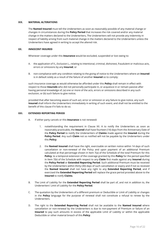### **XIX. MATERIAL ALTERATIONS**

The **Named Insured** must tell the Underwriters as soon as reasonably possible of any material change or changes in circumstances during the **Policy Period** that increases the risk covered and/or any material change in the matters declared to the Underwriters**.** The Underwriters will not provide any indemnity in respect of liability arising from such material change in the matters declared to the Underwriters unless the Underwriters have agreed in writing to accept the altered risk.

### **XX. INNOCENT INSURED**

Whenever coverage under this **Insurance** would be excluded, suspended or lost owing to:

- A. the application of V.**,** Exclusion L., relating to intentional, criminal, dishonest, fraudulent or malicious acts, errors or omissions by any **Insured**; or
- B. non-compliance with any condition relating to the giving of notice to the Underwriters where an **Insured**  is in default solely as a result of the failure of another **Insured** so to comply;

such insurance coverage as would otherwise be afforded under this **Policy** shall remain in effect with respect to those **Insureds** who did not personally participate in, or acquiesce in or remain passive after having personal knowledge of, (a) one or more of the acts, errors or omissions described in any such exclusion, or (b) such failure to give notice;

provided that after becoming aware of such act, error or omission or any failure to give notice, any such **Insured** shall inform the Underwriters immediately in writing of such event, and shall not be entitled to the benefit of this clause if it fails to do so.

### **XXI. EXTENDED REPORTING PERIOD**

- A. If either party cancels or this **Insurance** is not renewed**:**
	- 1. notwithstanding the requirement in Clause XII. A to notify the Underwriters as soon as reasonably practicable, the **Insured** shall have fourteen (14) days from the Anniversary Date of the **Policy Period** to notify the Underwriters of **Claims** made against the **Insured** during the **Policy Period**. Any such **Claim** not so notified will not be payable by the Underwriters under this **Policy**.
	- 2. the **Named Insured** shall have the right, exercisable on written notice within 14 days of such cancellation or non-renewal of the Policy and upon payment of an additional Premium calculated at that percentage shown in Item 7(a) of the Schedule of the total Premium for this **Policy**, to a temporal extension of the coverage granted by this **Policy** for the period specified in Item 7(b) of the Schedule with respect to any **Claim** first made against any **Insured** during the **Policy Period** or **Extended Reporting Period**. Such additional Premium must be received by the Underwriters within thirty (30) days of such cancellation or expiry and if not so received the **Named Insured** shall not have any right to any **Extended Reporting Period**, and if exercised the **Extended Reporting Period** will replace the grace period provided above to the **Insured** to notify **Claims**.
- B. The Limit of Liability for the **Extended Reporting Period** shall be part of, and not in addition to, the Underwriters' Limit of Liability for the **Policy Period**.
- C. The quotation by the Underwriters of a different premium or Deductible or Limit of Liability or changes in the **Policy** language for the purpose of renewal shall not constitute a refusal to renew by the Underwriters.
- D. The right to the **Extended Reporting Period** shall not be available to the **Named Insured** where cancellation or non-renewal by the Underwriters is due to non-payment of Premium or failure of an **Insured** to pay such amounts in excess of the applicable Limit of Liability or within the applicable Deductible or other material breach of this **Policy**.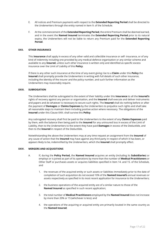- E. All notices and Premium payments with respect to the **Extended Reporting Period** shall be directed to the Underwriters through the entity named in Item 9. of the Schedule.
- F. At the commencement of the **Extended Reporting Period**, the entire Premium shall be deemed earned, and in the event the **Named Insured** terminates the **Extended Reporting Period** prior to its natural expiry, the Underwriters will not be liable to return any Premium paid for the **Extended Reporting Period**.

### **XXII. OTHER INSURANCE**

This **Insurance** shall apply in excess of any other valid and collectible insurance or self- insurance, or of any kind of indemnity including one provided by any medical defence organisation or any similar scheme and available to any **Insured**, unless such other insurance is written only and identified as specific excess insurance over the Limit of Liability of this **Policy**.

If there is any other such insurance at the time of any event giving rise to a **Claim** under this **Policy** the **Insured** shall promptly provide the Underwriters in writing with full details of such other insurance, including the identity of the insurer and the policy number, and such further information as the Underwriters may reasonably require.

### **XXIII. SUBROGATION**

The Underwriters shall be subrogated to the extent of their liability under this **Insurance** to all the **Insured's**  rights of recovery against any person or organisation, and the **Insured** shall execute and deliver instruments and papers and do whatever is necessary to secure such rights. The **Insured** shall do nothing before or after the payment of **Damages** or **Claims Expenses** by the Underwriters to prejudice such rights and shall take all reasonable steps to maintain them including positive action where necessary. The obligations of the **Insured** under this Clause XXIII. shall survive this **Policy**.

Any subrogated recovery shall first be paid to the Underwriters to the extent of any **Claims Expenses** paid by them, with the balance then being paid to the **Insured** for any uninsured loss in excess of the Limit of Liability, then to the Underwriters to the extent they have paid **Damages** in excess of the Deductible, and then to the **Insured** in respect of the Deductible.

Notwithstanding the above the Underwriters may at any time request an assignment from the **Insured** of any cause of action that the **Insured** may have against any third party in respect of which it has been, or appears likely to be, indemnified by the Underwriters, which the **Insured** shall promptly effect.

### **XXIV. MERGERS AND ACQUISITIONS**

- A. If, during the **Policy Period,** the **Named Insured** acquires an entity (including its **Subsidiaries**) or employs or is joined as part of its operations by more than the number of **Medical Practitioners** or Other Staff or purchases assets or acquires liabilities specified in Item 14. and 15. of the Schedule, and
	- 1. the revenues of the acquired entity or such assets or liabilities immediately prior to the date of completion of such acquisition do not exceed 10% of the **Named Insured's** annual revenues or assets respectively as specified in its most recent application for insurance to the Underwriters;
	- 2. the business operations of the acquired entity are of a similar nature to those of the **Named Insured** as specified in such recent application;
	- 3. the total number of **Medical Practitioners** employed by the **Named Insured** does not increase by more than 20% or 15 (whichever is less); and
	- 4. the operations of the acquiring or acquired entity are primarily located in the same country as the **Named Insured**;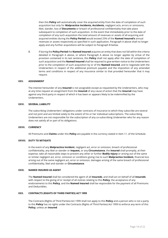then this **Policy** will automatically cover the acquired entity from the date of completion of such acquisition but only for **Malpractice Incidents, Accidents,** negligent acts, errors or omissions, libel, slander, loss of **Documents** or breach of professional confidentiality that take place subsequent to completion of such acquisition. In the event that immediately prior to the date of completion of any such acquisition the total amount of revenues or assets of all acquiring and acquired entities during the **Policy Period** would exceed 25% of the **Named Insured's** annual revenues or assets respectively as specified in such application, Paragraph A above shall no longer apply and any further acquisitions will be subject to Paragraph B below.

B. If during the **Policy Period** the **Named Insured** acquires an entity that does not fall within the criteria detailed in Paragraph A above, or where Paragraph A above no longer applies by virtue of the provision contained in its last sentence, this **Policy** shall not apply after the date of completion of such acquisition and the **Named Insured** shall be required to give written notice to the Underwriters prior to the completion of such acquisition by or of the **Named Insured**, and to negotiate with the Underwriters in respect of the additional premium payable and the imposition of any amended terms and conditions in respect of any insurance similar to that provided hereunder that it may require.

### **XXV. ASSIGNMENT**

The interest hereunder of any **Insured** is not assignable except as requested by the Underwriters, who may at any time request an assignment from the **Insured** of any cause of action that the **Insured** may have against any third party in respect of which it has been or appears likely to be indemnified by the Underwriters.

### **XXVI. SEVERAL LIABILITY**

The subscribing Underwriters' obligations under contracts of insurance to which they subscribe are several and not joint and are limited solely to the extent of his or her individual subscriptions. The subscribing Underwriters are not responsible for the subscription of any co-subscribing Underwriter who for any reason does not satisfy all or part of its obligations.

### **XXVII. CURRENCY**

All Premiums and **Claims** under this **Policy** are payable in the currency stated in Item 11. of the Schedule.

### **XXVIII. DUTY TO MITIGATE**

In the event of any **Malpractice Incident**, negligent act, error or omission, breach of professional confidentiality, any libel or slander or **Inquest,** or any **Circumstance**, the **Insured** shall promptly, at their expense, take all reasonable steps to prevent any other or further **Bodily Injury** or arising out of the same or similar negligent act, error, omission or conditions giving rise to such **Malpractice Incident,** financial loss arising out of the same negligent act, error or omission, damages arising of the same breach of professional confidentiality, libel and slander or **Circumstance**.

### **XXIX. NAMED INSURED AS AGENT**

The **Named Insured** shall be considered the agent of all **Insureds**, and shall act on behalf of all **Insureds**  with respect to the giving of or receipt of all notices relating to this **Policy**, the acceptance of any endorsements to this **Policy**, and the **Named Insured** shall be responsible for the payment of all Premiums and Deductibles.

### **XXX. CONTRACTS (RIGHTS OF THIRD PARTIES) ACT 1999**

The Contracts (Rights of Third Parties) Act 1999 shall not apply to this **Policy** and a person who is not a party to this **Policy** has no rights under the Contracts (Rights of Third Parties) Act 1999 to enforce any term of this **Policy**, unless an **Insured**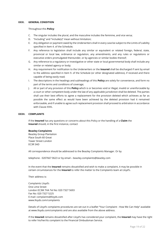### **XXXI. GENERAL CONDITION**

### Throughout this **Policy**:

- C. The singular includes the plural, and the masculine includes the feminine, and vice versa;
- D. "Including" and "include(s)" mean without limitation;
- E. Any obligation or payment owed by the Underwriters shall in every case be subject to the Limits of Liability specified in Item 4. of the Schedule;
- F. Any reference to legislation shall include any similar or equivalent or related foreign, federal, state, provincial or local law, ordinance or regulation, any amendments, and any rules or regulations or executive orders promulgated thereunder, or by agencies or similar bodies thereof;
- G. Any reference to a regulatory or investigative or other state or local governmental body shall include any similar or related agency or body;
- H. Any requirement for notification to the Underwriters or the **Insured** shall be discharged if sent by email to the address specified in Item 9. of the Schedule (or other designated address), if received and there capable of being easily read;
- I. The descriptions in the headings and subheadings of this **Policy** are solely for convenience, and form no part of the terms and conditions of coverage;
- J. All or part of any provision of this **Policy** which is or becomes void or illegal, invalid or unenforceable by a court or other competent body under the law of any applicable jurisdiction shall be deleted. The parties shall use their best efforts to agree a replacement for the provision deleted which achieves as far as possible the same effect as would have been achieved by the deleted provision had it remained enforceable, and if unable to agree such replacement provision shall proceed to arbitration in accordance with Clause XVIII**.**

### **XXXII. COMPLAINTS**

If the **Insured** has any questions or concerns about this Policy or the handling of a **Claim** the **Insured** should, in the first instance, contact

### **Beazley Complaints**

Beazley Group Plantation Place South 60 Great Tower Street London EC3R 5AD

All correspondence should be addressed to the Beazley Complaints Manager. Or by

telephone - 0207667 0623 or by email – beazley.complaints@beazley.com

In the event that the **Insured** remains dissatisfied and wish to make a complaint, it may be possible in certain circumstances for the **Insured** to refer the matter to the Complaints team at Lloyd's.

Their address is:

Complaints Lloyd's One Lime Street London EC3M 7HA Tel No: 020 7327 5693 Fax No: 020 7327 5225 E-mail: complaints@lloyds.com www.lloyds.com/complaints

Details of Lloyd's complaints procedures are set out in a leaflet "Your Complaint - How We Can Help" available at www.lloyds.com/complaints and are also available from the above address.

If the **Insured** remains dissatisfied after Lloyd's has considered your complaint, the **Insured** may have the right to refer his/her/its complaint to the Financial Ombudsman Service.